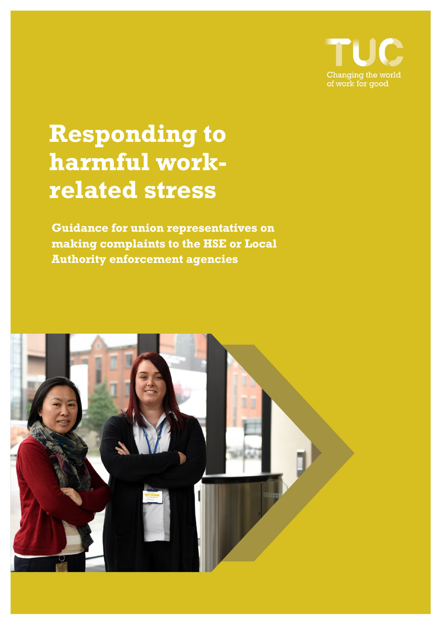

# **Responding to harmful workrelated stress**

**Guidance for union representatives on making complaints to the HSE or Local Authority enforcement agencies**

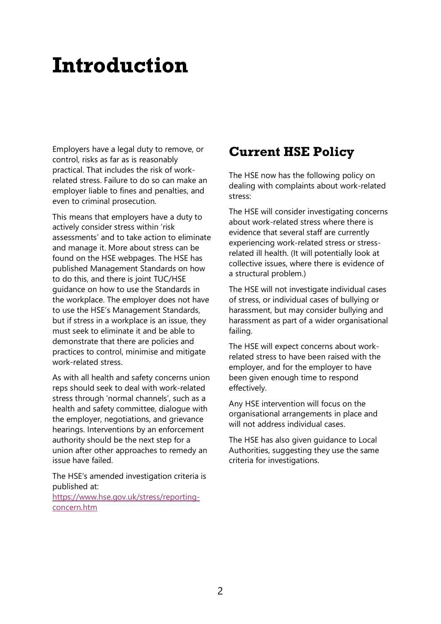## **Introduction**

Employers have a legal duty to remove, or control, risks as far as is reasonably practical. That includes the risk of workrelated stress. Failure to do so can make an employer liable to fines and penalties, and even to criminal prosecution.

This means that employers have a duty to actively consider stress within 'risk assessments' and to take action to eliminate and manage it. More about stress can be found on the HSE webpages. The HSE has published Management Standards on how to do this, and there is joint TUC/HSE guidance on how to use the Standards in the workplace. The employer does not have to use the HSE's Management Standards, but if stress in a workplace is an issue, they must seek to eliminate it and be able to demonstrate that there are policies and practices to control, minimise and mitigate work-related stress.

As with all health and safety concerns union reps should seek to deal with work-related stress through 'normal channels', such as a health and safety committee, dialogue with the employer, negotiations, and grievance hearings. Interventions by an enforcement authority should be the next step for a union after other approaches to remedy an issue have failed.

The HSE's amended investigation criteria is published at:

https://www.hse.gov.uk/stress/reportingconcern.htm

### **Current HSE Policy**

The HSE now has the following policy on dealing with complaints about work-related stress:

The HSE will consider investigating concerns about work-related stress where there is evidence that several staff are currently experiencing work-related stress or stressrelated ill health. (It will potentially look at collective issues, where there is evidence of a structural problem.)

The HSE will not investigate individual cases of stress, or individual cases of bullying or harassment, but may consider bullying and harassment as part of a wider organisational failing.

The HSE will expect concerns about workrelated stress to have been raised with the employer, and for the employer to have been given enough time to respond effectively.

Any HSE intervention will focus on the organisational arrangements in place and will not address individual cases.

The HSE has also given guidance to Local Authorities, suggesting they use the same criteria for investigations.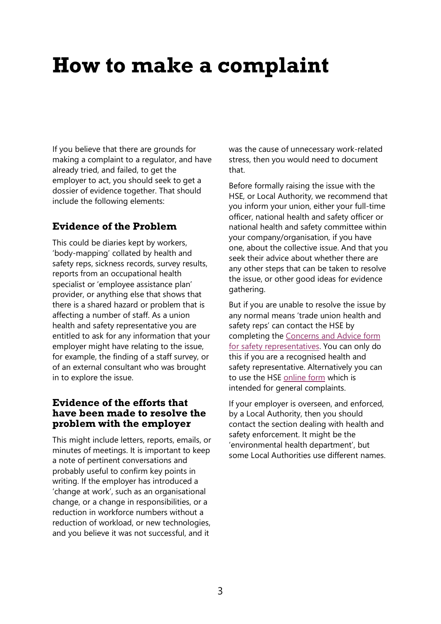## **How to make a complaint**

If you believe that there are grounds for making a complaint to a regulator, and have already tried, and failed, to get the employer to act, you should seek to get a dossier of evidence together. That should include the following elements:

#### **Evidence of the Problem**

This could be diaries kept by workers, 'body-mapping' collated by health and safety reps, sickness records, survey results, reports from an occupational health specialist or 'employee assistance plan' provider, or anything else that shows that there is a shared hazard or problem that is affecting a number of staff. As a union health and safety representative you are entitled to ask for any information that your employer might have relating to the issue, for example, the finding of a staff survey, or of an external consultant who was brought in to explore the issue.

#### **Evidence of the efforts that have been made to resolve the problem with the employer**

This might include letters, reports, emails, or minutes of meetings. It is important to keep a note of pertinent conversations and probably useful to confirm key points in writing. If the employer has introduced a 'change at work', such as an organisational change, or a change in responsibilities, or a reduction in workforce numbers without a reduction of workload, or new technologies, and you believe it was not successful, and it

was the cause of unnecessary work-related stress, then you would need to document that.

Before formally raising the issue with the HSE, or Local Authority, we recommend that you inform your union, either your full-time officer, national health and safety officer or national health and safety committee within your company/organisation, if you have one, about the collective issue. And that you seek their advice about whether there are any other steps that can be taken to resolve the issue, or other good ideas for evidence gathering.

But if you are unable to resolve the issue by any normal means 'trade union health and safety reps' can contact the HSE by completing th[e Concerns and Advice form](https://extranet.hse.gov.uk/lfserver/external/turep1)  [for safety representatives.](https://extranet.hse.gov.uk/lfserver/external/turep1) You can only do this if you are a recognised health and safety representative. Alternatively you can to use the HSE [online form](https://webcommunities.hse.gov.uk/connect.ti/concernsform/answerQuestionnaire?qid=594147) which is intended for general complaints.

If your employer is overseen, and enforced, by a Local Authority, then you should contact the section dealing with health and safety enforcement. It might be the 'environmental health department', but some Local Authorities use different names.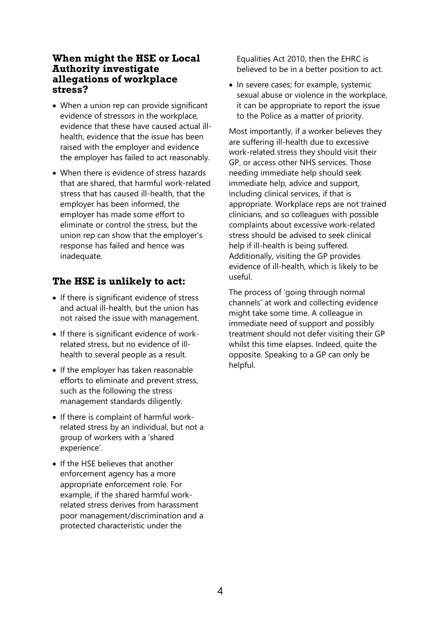#### **When might the HSE or Local Authority investigate allegations of workplace stress?**

- When a union rep can provide significant evidence of stressors in the workplace, evidence that these have caused actual illhealth, evidence that the issue has been raised with the employer and evidence the employer has failed to act reasonably.
- When there is evidence of stress hazards that are shared, that harmful work-related stress that has caused ill-health, that the employer has been informed, the employer has made some effort to eliminate or control the stress, but the union rep can show that the employer's response has failed and hence was inadequate.

#### **The HSE is unlikely to act:**

- If there is significant evidence of stress and actual ill-health, but the union has not raised the issue with management.
- If there is significant evidence of workrelated stress, but no evidence of illhealth to several people as a result.
- If the employer has taken reasonable efforts to eliminate and prevent stress, such as the following the stress management standards diligently.
- If there is complaint of harmful workrelated stress by an individual, but not a group of workers with a 'shared experience'.
- If the HSE believes that another enforcement agency has a more appropriate enforcement role. For example, if the shared harmful workrelated stress derives from harassment poor management/discrimination and a protected characteristic under the

Equalities Act 2010, then the EHRC is believed to be in a better position to act.

• In severe cases; for example, systemic sexual abuse or violence in the workplace, it can be appropriate to report the issue to the Police as a matter of priority.

Most importantly, if a worker believes they are suffering ill-health due to excessive work-related stress they should visit their GP, or access other NHS services. Those needing immediate help should seek immediate help, advice and support, including clinical services, if that is appropriate. Workplace reps are not trained clinicians, and so colleagues with possible complaints about excessive work-related stress should be advised to seek clinical help if ill-health is being suffered. Additionally, visiting the GP provides evidence of ill-health, which is likely to be useful.

The process of 'going through normal channels' at work and collecting evidence might take some time. A colleague in immediate need of support and possibly treatment should not defer visiting their GP whilst this time elapses. Indeed, quite the opposite. Speaking to a GP can only be helpful.